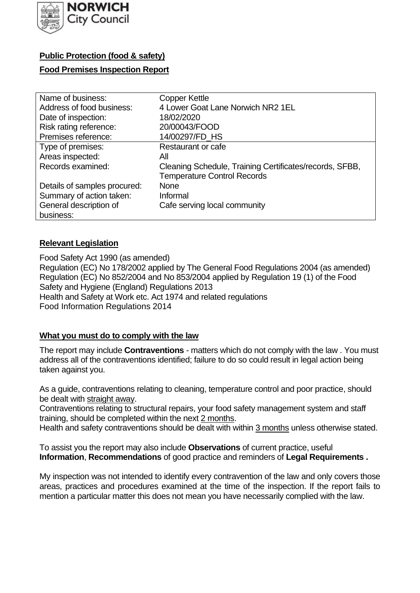

## **Public Protection (food & safety)**

### **Food Premises Inspection Report**

| Name of business:            | <b>Copper Kettle</b>                                    |
|------------------------------|---------------------------------------------------------|
| Address of food business:    | 4 Lower Goat Lane Norwich NR2 1EL                       |
| Date of inspection:          | 18/02/2020                                              |
| Risk rating reference:       | 20/00043/FOOD                                           |
| Premises reference:          | 14/00297/FD HS                                          |
| Type of premises:            | Restaurant or cafe                                      |
| Areas inspected:             | All                                                     |
| Records examined:            | Cleaning Schedule, Training Certificates/records, SFBB, |
|                              | <b>Temperature Control Records</b>                      |
| Details of samples procured: | <b>None</b>                                             |
| Summary of action taken:     | Informal                                                |
| General description of       | Cafe serving local community                            |
| business:                    |                                                         |

## **Relevant Legislation**

 Food Safety Act 1990 (as amended) Regulation (EC) No 178/2002 applied by The General Food Regulations 2004 (as amended) Regulation (EC) No 852/2004 and No 853/2004 applied by Regulation 19 (1) of the Food Safety and Hygiene (England) Regulations 2013 Health and Safety at Work etc. Act 1974 and related regulations Food Information Regulations 2014

### **What you must do to comply with the law**

 The report may include **Contraventions** - matters which do not comply with the law . You must address all of the contraventions identified; failure to do so could result in legal action being taken against you.

 As a guide, contraventions relating to cleaning, temperature control and poor practice, should be dealt with straight away.

 Contraventions relating to structural repairs, your food safety management system and staff training, should be completed within the next 2 months.

Health and safety contraventions should be dealt with within 3 months unless otherwise stated.

 To assist you the report may also include **Observations** of current practice, useful **Information**, **Recommendations** of good practice and reminders of **Legal Requirements .** 

 My inspection was not intended to identify every contravention of the law and only covers those areas, practices and procedures examined at the time of the inspection. If the report fails to mention a particular matter this does not mean you have necessarily complied with the law.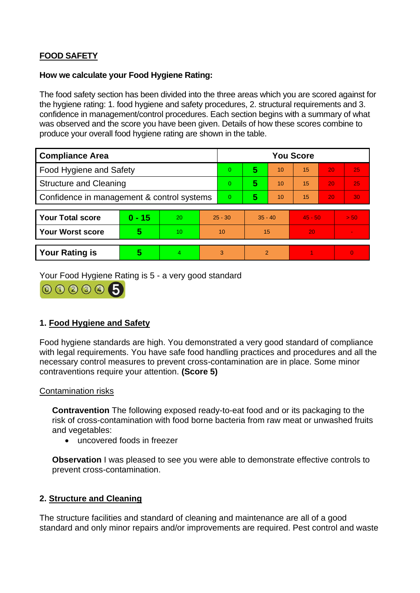# **FOOD SAFETY**

#### **How we calculate your Food Hygiene Rating:**

 The food safety section has been divided into the three areas which you are scored against for the hygiene rating: 1. food hygiene and safety procedures, 2. structural requirements and 3. confidence in management/control procedures. Each section begins with a summary of what was observed and the score you have been given. Details of how these scores combine to produce your overall food hygiene rating are shown in the table.

| <b>Compliance Area</b>                     |          |    |           | <b>You Score</b> |                |    |           |    |                |  |  |
|--------------------------------------------|----------|----|-----------|------------------|----------------|----|-----------|----|----------------|--|--|
| <b>Food Hygiene and Safety</b>             |          |    |           | $\overline{0}$   | 5              | 10 | 15        | 20 | 25             |  |  |
| <b>Structure and Cleaning</b>              |          |    | $\Omega$  | 5                | 10             | 15 | 20        | 25 |                |  |  |
| Confidence in management & control systems |          |    | $\Omega$  | 5                | 10             | 15 | 20        | 30 |                |  |  |
|                                            |          |    |           |                  |                |    |           |    |                |  |  |
| <b>Your Total score</b>                    | $0 - 15$ | 20 | $25 - 30$ |                  | $35 - 40$      |    | $45 - 50$ |    | > 50           |  |  |
| <b>Your Worst score</b>                    | 5        | 10 | 10        |                  | 15             |    | 20        |    |                |  |  |
|                                            |          |    |           |                  |                |    |           |    |                |  |  |
| <b>Your Rating is</b>                      | 5        | 4. | 3         |                  | $\overline{2}$ |    |           |    | $\overline{0}$ |  |  |

Your Food Hygiene Rating is 5 - a very good standard



## **1. Food Hygiene and Safety**

 with legal requirements. You have safe food handling practices and procedures and all the Food hygiene standards are high. You demonstrated a very good standard of compliance necessary control measures to prevent cross-contamination are in place. Some minor contraventions require your attention. **(Score 5)** 

### Contamination risks

**Contravention** The following exposed ready-to-eat food and or its packaging to the risk of cross-contamination with food borne bacteria from raw meat or unwashed fruits and vegetables:

• uncovered foods in freezer

**Observation** I was pleased to see you were able to demonstrate effective controls to prevent cross-contamination.

## **2. Structure and Cleaning**

 The structure facilities and standard of cleaning and maintenance are all of a good standard and only minor repairs and/or improvements are required. Pest control and waste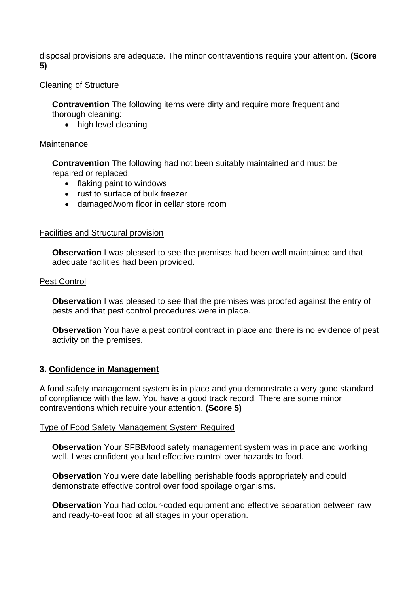disposal provisions are adequate. The minor contraventions require your attention. **(Score 5)** 

### Cleaning of Structure

**Contravention** The following items were dirty and require more frequent and thorough cleaning:

• high level cleaning

#### **Maintenance**

**Contravention** The following had not been suitably maintained and must be repaired or replaced:

- flaking paint to windows
- rust to surface of bulk freezer
- damaged/worn floor in cellar store room

### Facilities and Structural provision

 **Observation** I was pleased to see the premises had been well maintained and that adequate facilities had been provided.

#### Pest Control

**Observation** I was pleased to see that the premises was proofed against the entry of pests and that pest control procedures were in place.

 **Observation** You have a pest control contract in place and there is no evidence of pest activity on the premises.

### **3. Confidence in Management**

A food safety management system is in place and you demonstrate a very good standard of compliance with the law. You have a good track record. There are some minor contraventions which require your attention. **(Score 5)** 

#### Type of Food Safety Management System Required

**Observation** Your SFBB/food safety management system was in place and working well. I was confident you had effective control over hazards to food.

 demonstrate effective control over food spoilage organisms. **Observation** You were date labelling perishable foods appropriately and could

**Observation** You had colour-coded equipment and effective separation between raw and ready-to-eat food at all stages in your operation.